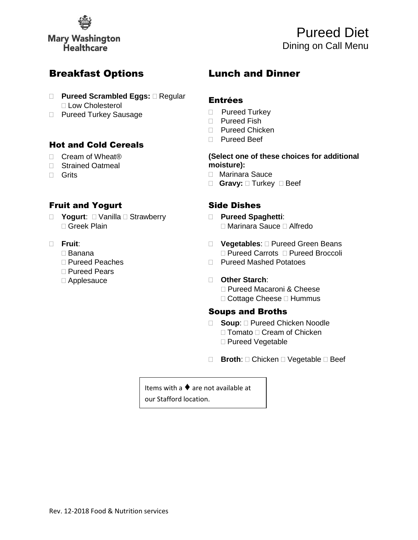

Pureed Diet Dining on Call Menu

## Breakfast Options

- □ **Pureed Scrambled Eggs:** □ Regular □ Low Cholesterol
- D Pureed Turkey Sausage

### Hot and Cold Cereals

- □ Cream of Wheat<sup>®</sup>
- □ Strained Oatmeal

Fruit and Yogurt

Greek Plain

□ Pureed Peaches Pureed Pears Applesauce

Banana

□ **Yogurt**: □ Vanilla □ Strawberry

□ Grits

**Fruit**:

# Lunch and Dinner

### Entrées

- D Pureed Turkey
- D Pureed Fish
- □ Pureed Chicken
- □ Pureed Beef

#### **(Select one of these choices for additional moisture):**

- Marinara Sauce
- □ Gravy: □ Turkey □ Beef

## Side Dishes

- **Pureed Spaghetti**: Marinara Sauce Alfredo
- □ Vegetables: □ Pureed Green Beans □ Pureed Carrots □ Pureed Broccoli
- □ Pureed Mashed Potatoes

#### **Other Starch**:

□ Pureed Macaroni & Cheese  $\Box$  Cottage Cheese  $\Box$  Hummus

## Soups and Broths

- □ **Soup**: □ Pureed Chicken Noodle  $\Box$  Tomato  $\Box$  Cream of Chicken □ Pureed Vegetable
- □ **Broth**: □ Chicken □ Vegetable □ Beef

Items with a ♦ are not available at our Stafford location.